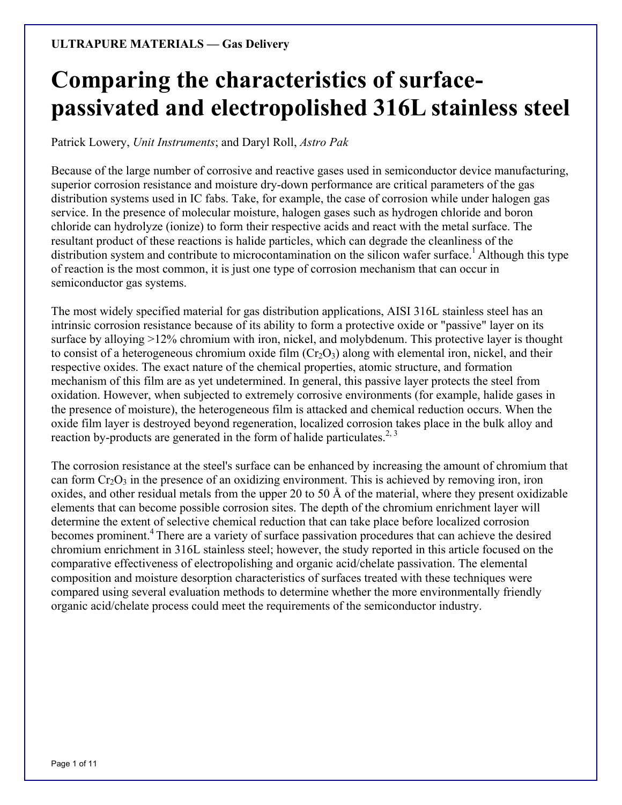# **Comparing the characteristics of surfacepassivated and electropolished 316L stainless steel**

Patrick Lowery, *Unit Instruments*; and Daryl Roll, *Astro Pak*

Because of the large number of corrosive and reactive gases used in semiconductor device manufacturing, superior corrosion resistance and moisture dry-down performance are critical parameters of the gas distribution systems used in IC fabs. Take, for example, the case of corrosion while under halogen gas service. In the presence of molecular moisture, halogen gases such as hydrogen chloride and boron chloride can hydrolyze (ionize) to form their respective acids and react with the metal surface. The resultant product of these reactions is halide particles, which can degrade the cleanliness of the distribution system and contribute to microcontamination on the silicon wafer surface.<sup>1</sup> Although this type of reaction is the most common, it is just one type of corrosion mechanism that can occur in semiconductor gas systems.

The most widely specified material for gas distribution applications, AISI 316L stainless steel has an intrinsic corrosion resistance because of its ability to form a protective oxide or "passive" layer on its surface by alloying >12% chromium with iron, nickel, and molybdenum. This protective layer is thought to consist of a heterogeneous chromium oxide film  $(Cr_2O_3)$  along with elemental iron, nickel, and their respective oxides. The exact nature of the chemical properties, atomic structure, and formation mechanism of this film are as yet undetermined. In general, this passive layer protects the steel from oxidation. However, when subjected to extremely corrosive environments (for example, halide gases in the presence of moisture), the heterogeneous film is attacked and chemical reduction occurs. When the oxide film layer is destroyed beyond regeneration, localized corrosion takes place in the bulk alloy and reaction by-products are generated in the form of halide particulates.<sup>2, 3</sup>

The corrosion resistance at the steel's surface can be enhanced by increasing the amount of chromium that can form  $Cr_2O_3$  in the presence of an oxidizing environment. This is achieved by removing iron, iron oxides, and other residual metals from the upper 20 to 50  $\AA$  of the material, where they present oxidizable elements that can become possible corrosion sites. The depth of the chromium enrichment layer will determine the extent of selective chemical reduction that can take place before localized corrosion becomes prominent.<sup>4</sup> There are a variety of surface passivation procedures that can achieve the desired chromium enrichment in 316L stainless steel; however, the study reported in this article focused on the comparative effectiveness of electropolishing and organic acid/chelate passivation. The elemental composition and moisture desorption characteristics of surfaces treated with these techniques were compared using several evaluation methods to determine whether the more environmentally friendly organic acid/chelate process could meet the requirements of the semiconductor industry.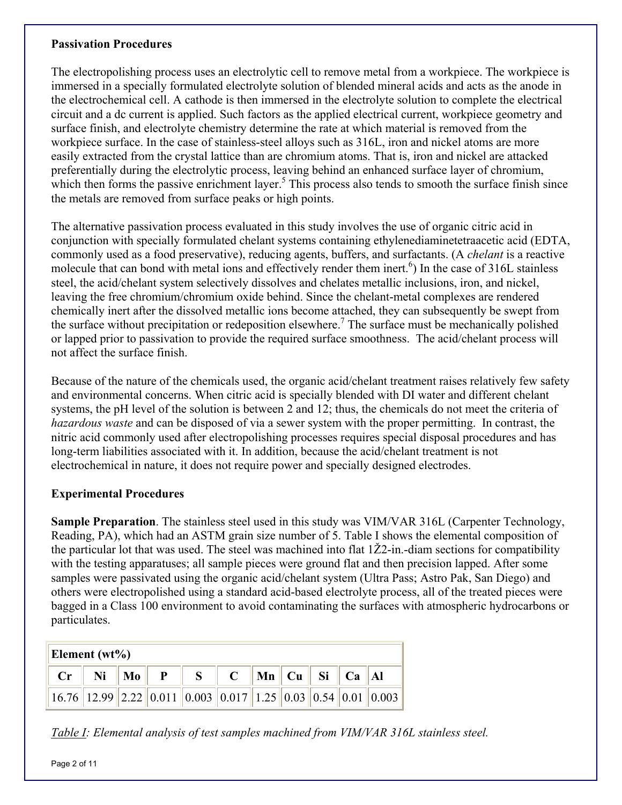## **Passivation Procedures**

The electropolishing process uses an electrolytic cell to remove metal from a workpiece. The workpiece is immersed in a specially formulated electrolyte solution of blended mineral acids and acts as the anode in the electrochemical cell. A cathode is then immersed in the electrolyte solution to complete the electrical circuit and a dc current is applied. Such factors as the applied electrical current, workpiece geometry and surface finish, and electrolyte chemistry determine the rate at which material is removed from the workpiece surface. In the case of stainless-steel alloys such as 316L, iron and nickel atoms are more easily extracted from the crystal lattice than are chromium atoms. That is, iron and nickel are attacked preferentially during the electrolytic process, leaving behind an enhanced surface layer of chromium, which then forms the passive enrichment layer.<sup>5</sup> This process also tends to smooth the surface finish since the metals are removed from surface peaks or high points.

The alternative passivation process evaluated in this study involves the use of organic citric acid in conjunction with specially formulated chelant systems containing ethylenediaminetetraacetic acid (EDTA, commonly used as a food preservative), reducing agents, buffers, and surfactants. (A *chelant* is a reactive molecule that can bond with metal ions and effectively render them inert.<sup>6</sup>) In the case of 316L stainless steel, the acid/chelant system selectively dissolves and chelates metallic inclusions, iron, and nickel, leaving the free chromium/chromium oxide behind. Since the chelant-metal complexes are rendered chemically inert after the dissolved metallic ions become attached, they can subsequently be swept from the surface without precipitation or redeposition elsewhere.<sup>7</sup> The surface must be mechanically polished or lapped prior to passivation to provide the required surface smoothness. The acid/chelant process will not affect the surface finish.

Because of the nature of the chemicals used, the organic acid/chelant treatment raises relatively few safety and environmental concerns. When citric acid is specially blended with DI water and different chelant systems, the pH level of the solution is between 2 and 12; thus, the chemicals do not meet the criteria of *hazardous waste* and can be disposed of via a sewer system with the proper permitting. In contrast, the nitric acid commonly used after electropolishing processes requires special disposal procedures and has long-term liabilities associated with it. In addition, because the acid/chelant treatment is not electrochemical in nature, it does not require power and specially designed electrodes.

# **Experimental Procedures**

**Sample Preparation**. The stainless steel used in this study was VIM/VAR 316L (Carpenter Technology, Reading, PA), which had an ASTM grain size number of 5. Table I shows the elemental composition of the particular lot that was used. The steel was machined into flat  $1\angle 2$ -in.-diam sections for compatibility with the testing apparatuses; all sample pieces were ground flat and then precision lapped. After some samples were passivated using the organic acid/chelant system (Ultra Pass; Astro Pak, San Diego) and others were electropolished using a standard acid-based electrolyte process, all of the treated pieces were bagged in a Class 100 environment to avoid contaminating the surfaces with atmospheric hydrocarbons or particulates.

| Element ( $wt\%$ ) |  |  |  |  |                                                                                                                                                                   |  |  |  |  |  |
|--------------------|--|--|--|--|-------------------------------------------------------------------------------------------------------------------------------------------------------------------|--|--|--|--|--|
|                    |  |  |  |  | $\parallel$ Cr $\parallel$ Ni $\parallel$ Mo $\parallel$ P $\parallel$ S $\parallel$ C $\parallel$ Mn $\parallel$ Cu $\parallel$ Si $\parallel$ Ca $\parallel$ Al |  |  |  |  |  |
|                    |  |  |  |  | $\ 16.76\ 12.99\ 2.22\ 0.011\ 0.003\ 0.017\ 1.25\ 0.03\ 0.54\ 0.01\ 0.003\ $                                                                                      |  |  |  |  |  |

*Table I: Elemental analysis of test samples machined from VIM/VAR 316L stainless steel.*

Page 2 of 11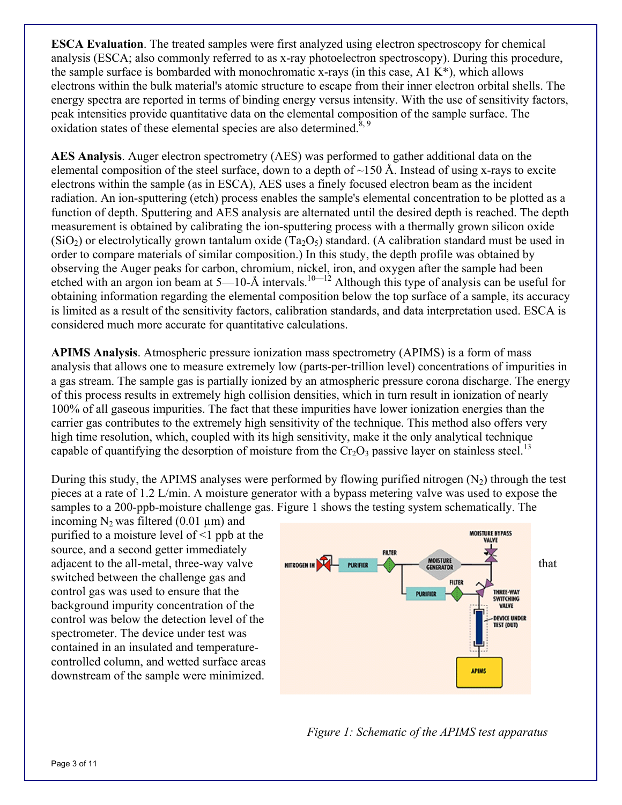**ESCA Evaluation**. The treated samples were first analyzed using electron spectroscopy for chemical analysis (ESCA; also commonly referred to as x-ray photoelectron spectroscopy). During this procedure, the sample surface is bombarded with monochromatic x-rays (in this case,  $A1 K<sup>*</sup>$ ), which allows electrons within the bulk material's atomic structure to escape from their inner electron orbital shells. The energy spectra are reported in terms of binding energy versus intensity. With the use of sensitivity factors, peak intensities provide quantitative data on the elemental composition of the sample surface. The oxidation states of these elemental species are also determined.<sup>8, 9</sup>

**AES Analysis**. Auger electron spectrometry (AES) was performed to gather additional data on the elemental composition of the steel surface, down to a depth of  $\sim$ 150 Å. Instead of using x-rays to excite electrons within the sample (as in ESCA), AES uses a finely focused electron beam as the incident radiation. An ion-sputtering (etch) process enables the sample's elemental concentration to be plotted as a function of depth. Sputtering and AES analysis are alternated until the desired depth is reached. The depth measurement is obtained by calibrating the ion-sputtering process with a thermally grown silicon oxide  $(SiO<sub>2</sub>)$  or electrolytically grown tantalum oxide (Ta<sub>2</sub>O<sub>5</sub>) standard. (A calibration standard must be used in order to compare materials of similar composition.) In this study, the depth profile was obtained by observing the Auger peaks for carbon, chromium, nickel, iron, and oxygen after the sample had been etched with an argon ion beam at  $5-10-\text{\AA}$  intervals.<sup>10—12</sup> Although this type of analysis can be useful for obtaining information regarding the elemental composition below the top surface of a sample, its accuracy is limited as a result of the sensitivity factors, calibration standards, and data interpretation used. ESCA is considered much more accurate for quantitative calculations.

**APIMS Analysis**. Atmospheric pressure ionization mass spectrometry (APIMS) is a form of mass analysis that allows one to measure extremely low (parts-per-trillion level) concentrations of impurities in a gas stream. The sample gas is partially ionized by an atmospheric pressure corona discharge. The energy of this process results in extremely high collision densities, which in turn result in ionization of nearly 100% of all gaseous impurities. The fact that these impurities have lower ionization energies than the carrier gas contributes to the extremely high sensitivity of the technique. This method also offers very high time resolution, which, coupled with its high sensitivity, make it the only analytical technique capable of quantifying the desorption of moisture from the  $Cr_2O_3$  passive layer on stainless steel.<sup>13</sup>

During this study, the APIMS analyses were performed by flowing purified nitrogen  $(N_2)$  through the test pieces at a rate of 1.2 L/min. A moisture generator with a bypass metering valve was used to expose the samples to a 200-ppb-moisture challenge gas. Figure 1 shows the testing system schematically. The

incoming  $N_2$  was filtered (0.01 µm) and purified to a moisture level of <1 ppb at the source, and a second getter immediately switched between the challenge gas and control gas was used to ensure that the background impurity concentration of the control was below the detection level of the spectrometer. The device under test was contained in an insulated and temperaturecontrolled column, and wetted surface areas downstream of the sample were minimized.



*Figure 1: Schematic of the APIMS test apparatus*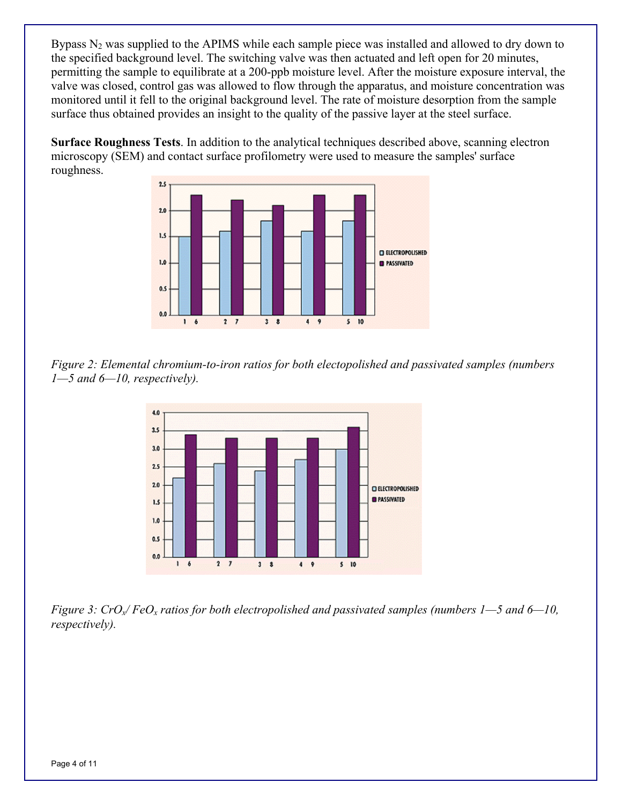Bypass  $N_2$  was supplied to the APIMS while each sample piece was installed and allowed to dry down to the specified background level. The switching valve was then actuated and left open for 20 minutes, permitting the sample to equilibrate at a 200-ppb moisture level. After the moisture exposure interval, the valve was closed, control gas was allowed to flow through the apparatus, and moisture concentration was monitored until it fell to the original background level. The rate of moisture desorption from the sample surface thus obtained provides an insight to the quality of the passive layer at the steel surface.

**Surface Roughness Tests**. In addition to the analytical techniques described above, scanning electron microscopy (SEM) and contact surface profilometry were used to measure the samples' surface roughness.







*Figure 3: CrOx/ FeOx ratios for both electropolished and passivated samples (numbers 1—5 and 6—10, respectively).*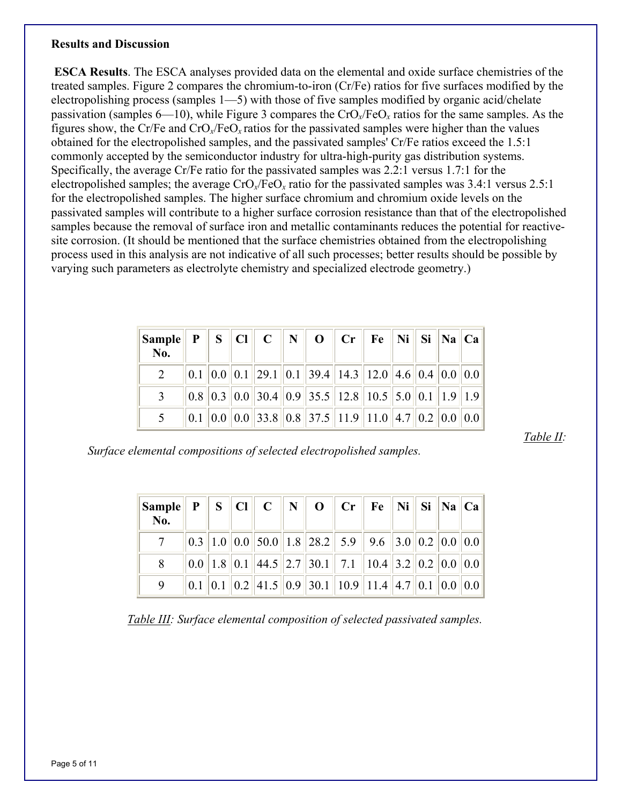#### **Results and Discussion**

 **ESCA Results**. The ESCA analyses provided data on the elemental and oxide surface chemistries of the treated samples. Figure 2 compares the chromium-to-iron (Cr/Fe) ratios for five surfaces modified by the electropolishing process (samples 1—5) with those of five samples modified by organic acid/chelate passivation (samples 6—10), while Figure 3 compares the CrO*x*/FeO*x* ratios for the same samples. As the figures show, the Cr/Fe and CrO*x*/FeO*<sup>x</sup>* ratios for the passivated samples were higher than the values obtained for the electropolished samples, and the passivated samples' Cr/Fe ratios exceed the 1.5:1 commonly accepted by the semiconductor industry for ultra-high-purity gas distribution systems. Specifically, the average Cr/Fe ratio for the passivated samples was 2.2:1 versus 1.7:1 for the electropolished samples; the average CrO*x*/FeO*x* ratio for the passivated samples was 3.4:1 versus 2.5:1 for the electropolished samples. The higher surface chromium and chromium oxide levels on the passivated samples will contribute to a higher surface corrosion resistance than that of the electropolished samples because the removal of surface iron and metallic contaminants reduces the potential for reactivesite corrosion. (It should be mentioned that the surface chemistries obtained from the electropolishing process used in this analysis are not indicative of all such processes; better results should be possible by varying such parameters as electrolyte chemistry and specialized electrode geometry.)

| Sample $\mathbf{P} \parallel \mathbf{S} \parallel \mathbf{C} \parallel \mathbf{C} \parallel \mathbf{N} \parallel \mathbf{O} \parallel \mathbf{C} \mathbf{r} \parallel \mathbf{Fe} \parallel \mathbf{Ni} \parallel \mathbf{Si} \parallel \mathbf{Na} \parallel \mathbf{Ca}$<br><b>No.</b> |  |                                                                      |  |  |  |  |
|------------------------------------------------------------------------------------------------------------------------------------------------------------------------------------------------------------------------------------------------------------------------------------------|--|----------------------------------------------------------------------|--|--|--|--|
|                                                                                                                                                                                                                                                                                          |  | $\ 0.1\ 0.0\ 0.1\ 29.1\ 0.1\ 39.4\ 14.3\ 12.0\ 4.6\ 0.4\ 0.0\ 0.0\ $ |  |  |  |  |
|                                                                                                                                                                                                                                                                                          |  | $\ 0.8\ 0.3\ 0.0\ 30.4\ 0.9\ 35.5\ 12.8\ 10.5\ 5.0\ 0.1\ 1.9\ 1.9\ $ |  |  |  |  |
|                                                                                                                                                                                                                                                                                          |  | $\ 0.1\ 0.0\ 0.0\ 33.8\ 0.8\ 37.5\ 11.9\ 11.0\ 4.7\ 0.2\ 0.0\ 0.0\ $ |  |  |  |  |

*Table II:* 

*Surface elemental compositions of selected electropolished samples.*

| Sample $\parallel$ P $\parallel$ S $\parallel$ Cl $\parallel$ C $\parallel$ N $\parallel$ O $\parallel$ Cr $\parallel$ Fe $\parallel$ Ni $\parallel$ Si $\parallel$ Na $\parallel$ Ca<br>$\bf{No.}$ |  |  |                                                                                                                                                                                                       |  |  |  |
|-----------------------------------------------------------------------------------------------------------------------------------------------------------------------------------------------------|--|--|-------------------------------------------------------------------------------------------------------------------------------------------------------------------------------------------------------|--|--|--|
|                                                                                                                                                                                                     |  |  | $\ 0.3\ 1.0\ 0.0\ 50.0\ 1.8\ 28.2\ 5.9\ 9.6\ 3.0\ 0.2\ 0.0\ 0.0\ $                                                                                                                                    |  |  |  |
|                                                                                                                                                                                                     |  |  | $\ 0.0\ 1.8\ 0.1\ 44.5\ 2.7\ 30.1\ 7.1\ 10.4\ 3.2\ 0.2\ 0.0\ 0.0$                                                                                                                                     |  |  |  |
|                                                                                                                                                                                                     |  |  | $\vert 0.1 \vert \vert 0.1 \vert \vert 0.2 \vert \vert 41.5 \vert \vert 0.9 \vert \vert 30.1 \vert \vert 10.9 \vert \vert 11.4 \vert \vert 4.7 \vert \vert 0.1 \vert \vert 0.0 \vert \vert 0.0 \vert$ |  |  |  |

*Table III: Surface elemental composition of selected passivated samples.*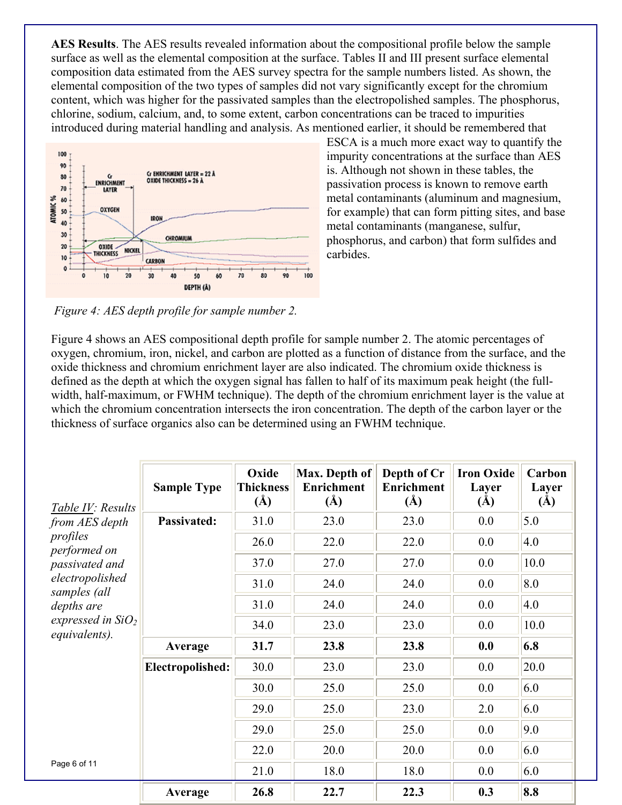**AES Results**. The AES results revealed information about the compositional profile below the sample surface as well as the elemental composition at the surface. Tables II and III present surface elemental composition data estimated from the AES survey spectra for the sample numbers listed. As shown, the elemental composition of the two types of samples did not vary significantly except for the chromium content, which was higher for the passivated samples than the electropolished samples. The phosphorus, chlorine, sodium, calcium, and, to some extent, carbon concentrations can be traced to impurities introduced during material handling and analysis. As mentioned earlier, it should be remembered that



ESCA is a much more exact way to quantify the impurity concentrations at the surface than AES is. Although not shown in these tables, the passivation process is known to remove earth metal contaminants (aluminum and magnesium, for example) that can form pitting sites, and base metal contaminants (manganese, sulfur, phosphorus, and carbon) that form sulfides and carbides.

 *Figure 4: AES depth profile for sample number 2.* 

Figure 4 shows an AES compositional depth profile for sample number 2. The atomic percentages of oxygen, chromium, iron, nickel, and carbon are plotted as a function of distance from the surface, and the oxide thickness and chromium enrichment layer are also indicated. The chromium oxide thickness is defined as the depth at which the oxygen signal has fallen to half of its maximum peak height (the fullwidth, half-maximum, or FWHM technique). The depth of the chromium enrichment layer is the value at which the chromium concentration intersects the iron concentration. The depth of the carbon layer or the thickness of surface organics also can be determined using an FWHM technique.

| Table IV: Results                    | <b>Sample Type</b> | Oxide<br><b>Thickness</b><br>$\rm(\AA)$ | Max. Depth of<br><b>Enrichment</b><br>$(\AA)$ | Depth of Cr<br><b>Enrichment</b><br>$(\AA)$ | <b>Iron Oxide</b><br>Layer<br>$(\AA)$ | Carbon<br>Layer<br>$(\AA)$ |
|--------------------------------------|--------------------|-----------------------------------------|-----------------------------------------------|---------------------------------------------|---------------------------------------|----------------------------|
| from AES depth                       | <b>Passivated:</b> | 31.0                                    | 23.0                                          | 23.0                                        | 0.0                                   | 5.0                        |
| profiles<br>performed on             |                    | 26.0                                    | 22.0                                          | 22.0                                        | 0.0                                   | 4.0                        |
| passivated and                       |                    | 37.0                                    | 27.0                                          | 27.0                                        | 0.0                                   | 10.0                       |
| electropolished<br>samples (all      |                    | 31.0                                    | 24.0                                          | 24.0                                        | 0.0                                   | 8.0                        |
| depths are                           |                    | 31.0                                    | 24.0                                          | 24.0                                        | 0.0                                   | 4.0                        |
| expressed in $SiO2$<br>equivalents). |                    | 34.0                                    | 23.0                                          | 23.0                                        | 0.0                                   | 10.0                       |
|                                      | Average            | 31.7                                    | 23.8                                          | 23.8                                        | 0.0                                   | 6.8                        |
|                                      | Electropolished:   | 30.0                                    | 23.0                                          | 23.0                                        | 0.0                                   | 20.0                       |
|                                      |                    | 30.0                                    | 25.0                                          | 25.0                                        | 0.0                                   | 6.0                        |
|                                      |                    | 29.0                                    | 25.0                                          | 23.0                                        | 2.0                                   | 6.0                        |
|                                      |                    | 29.0                                    | 25.0                                          | 25.0                                        | 0.0                                   | 9.0                        |
|                                      |                    | 22.0                                    | 20.0                                          | 20.0                                        | 0.0                                   | 6.0                        |
| Page 6 of 11                         |                    | 21.0                                    | 18.0                                          | 18.0                                        | 0.0                                   | 6.0                        |
|                                      | Average            | 26.8                                    | 22.7                                          | 22.3                                        | 0.3                                   | $\vert 8.8$                |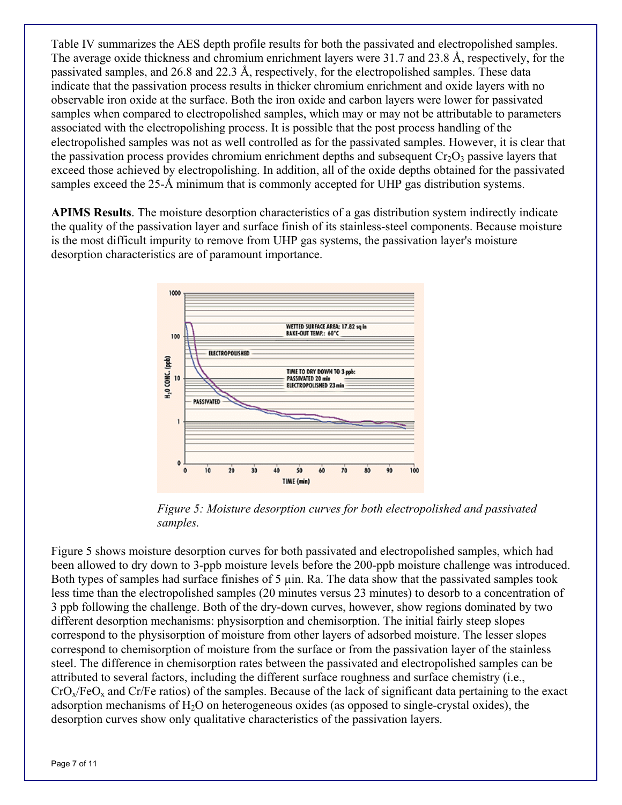Table IV summarizes the AES depth profile results for both the passivated and electropolished samples. The average oxide thickness and chromium enrichment layers were 31.7 and 23.8 Å, respectively, for the passivated samples, and 26.8 and 22.3 Å, respectively, for the electropolished samples. These data indicate that the passivation process results in thicker chromium enrichment and oxide layers with no observable iron oxide at the surface. Both the iron oxide and carbon layers were lower for passivated samples when compared to electropolished samples, which may or may not be attributable to parameters associated with the electropolishing process. It is possible that the post process handling of the electropolished samples was not as well controlled as for the passivated samples. However, it is clear that the passivation process provides chromium enrichment depths and subsequent  $Cr_2O_3$  passive layers that exceed those achieved by electropolishing. In addition, all of the oxide depths obtained for the passivated samples exceed the 25-Å minimum that is commonly accepted for UHP gas distribution systems.

**APIMS Results**. The moisture desorption characteristics of a gas distribution system indirectly indicate the quality of the passivation layer and surface finish of its stainless-steel components. Because moisture is the most difficult impurity to remove from UHP gas systems, the passivation layer's moisture desorption characteristics are of paramount importance.



 *Figure 5: Moisture desorption curves for both electropolished and passivated samples.* 

Figure 5 shows moisture desorption curves for both passivated and electropolished samples, which had been allowed to dry down to 3-ppb moisture levels before the 200-ppb moisture challenge was introduced. Both types of samples had surface finishes of 5 µin. Ra. The data show that the passivated samples took less time than the electropolished samples (20 minutes versus 23 minutes) to desorb to a concentration of 3 ppb following the challenge. Both of the dry-down curves, however, show regions dominated by two different desorption mechanisms: physisorption and chemisorption. The initial fairly steep slopes correspond to the physisorption of moisture from other layers of adsorbed moisture. The lesser slopes correspond to chemisorption of moisture from the surface or from the passivation layer of the stainless steel. The difference in chemisorption rates between the passivated and electropolished samples can be attributed to several factors, including the different surface roughness and surface chemistry (i.e.,  $CrO<sub>x</sub>/FeO<sub>x</sub>$  and  $Cr/Fe$  ratios) of the samples. Because of the lack of significant data pertaining to the exact adsorption mechanisms of  $H_2O$  on heterogeneous oxides (as opposed to single-crystal oxides), the desorption curves show only qualitative characteristics of the passivation layers.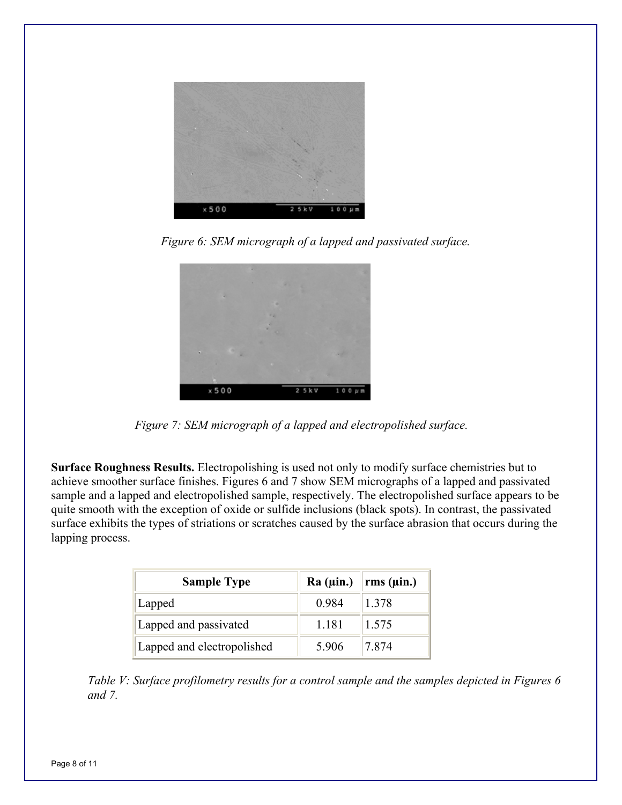

 *Figure 6: SEM micrograph of a lapped and passivated surface.*



 *Figure 7: SEM micrograph of a lapped and electropolished surface.*

**Surface Roughness Results.** Electropolishing is used not only to modify surface chemistries but to achieve smoother surface finishes. Figures 6 and 7 show SEM micrographs of a lapped and passivated sample and a lapped and electropolished sample, respectively. The electropolished surface appears to be quite smooth with the exception of oxide or sulfide inclusions (black spots). In contrast, the passivated surface exhibits the types of striations or scratches caused by the surface abrasion that occurs during the lapping process.

| <b>Sample Type</b>         | $Ra$ ( $\mu$ in.) | $\vert$ rms (µin.) |  |  |
|----------------------------|-------------------|--------------------|--|--|
| Lapped                     | 0.984             | 1.378              |  |  |
| Lapped and passivated      | 1 1 8 1           | 1.575              |  |  |
| Lapped and electropolished | 5906              | 7 874              |  |  |

*Table V: Surface profilometry results for a control sample and the samples depicted in Figures 6 and 7.*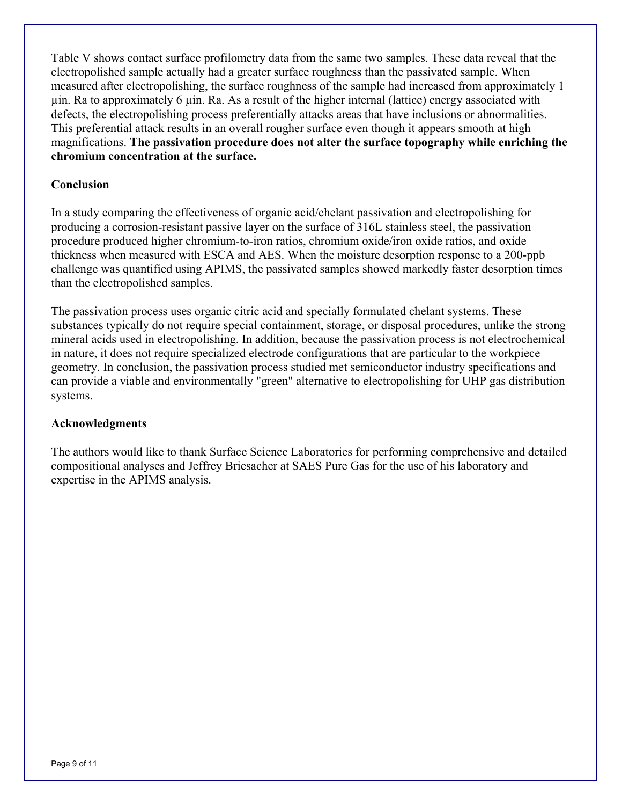Table V shows contact surface profilometry data from the same two samples. These data reveal that the electropolished sample actually had a greater surface roughness than the passivated sample. When measured after electropolishing, the surface roughness of the sample had increased from approximately 1 µin. Ra to approximately 6 µin. Ra. As a result of the higher internal (lattice) energy associated with defects, the electropolishing process preferentially attacks areas that have inclusions or abnormalities. This preferential attack results in an overall rougher surface even though it appears smooth at high magnifications. **The passivation procedure does not alter the surface topography while enriching the chromium concentration at the surface.** 

## **Conclusion**

In a study comparing the effectiveness of organic acid/chelant passivation and electropolishing for producing a corrosion-resistant passive layer on the surface of 316L stainless steel, the passivation procedure produced higher chromium-to-iron ratios, chromium oxide/iron oxide ratios, and oxide thickness when measured with ESCA and AES. When the moisture desorption response to a 200-ppb challenge was quantified using APIMS, the passivated samples showed markedly faster desorption times than the electropolished samples.

The passivation process uses organic citric acid and specially formulated chelant systems. These substances typically do not require special containment, storage, or disposal procedures, unlike the strong mineral acids used in electropolishing. In addition, because the passivation process is not electrochemical in nature, it does not require specialized electrode configurations that are particular to the workpiece geometry. In conclusion, the passivation process studied met semiconductor industry specifications and can provide a viable and environmentally "green" alternative to electropolishing for UHP gas distribution systems.

### **Acknowledgments**

The authors would like to thank Surface Science Laboratories for performing comprehensive and detailed compositional analyses and Jeffrey Briesacher at SAES Pure Gas for the use of his laboratory and expertise in the APIMS analysis.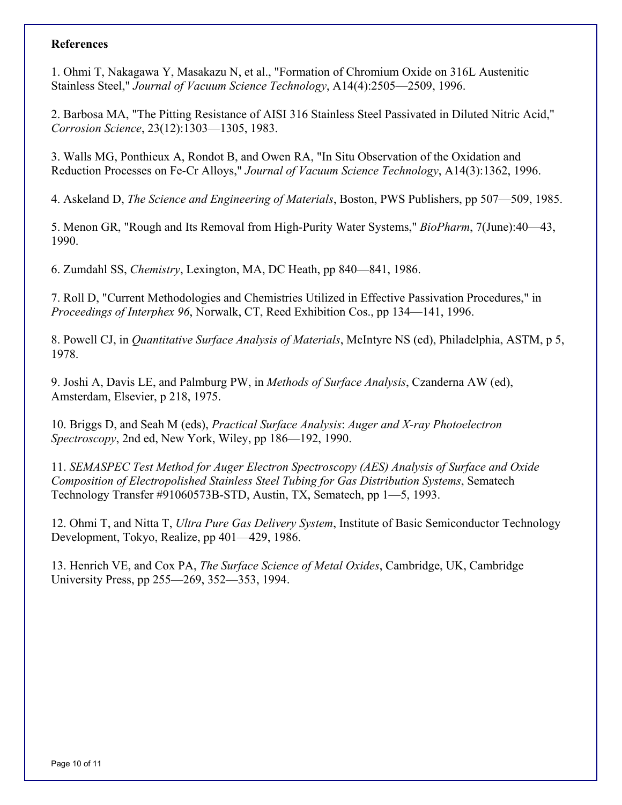#### **References**

1. Ohmi T, Nakagawa Y, Masakazu N, et al., "Formation of Chromium Oxide on 316L Austenitic Stainless Steel," *Journal of Vacuum Science Technology*, A14(4):2505—2509, 1996.

2. Barbosa MA, "The Pitting Resistance of AISI 316 Stainless Steel Passivated in Diluted Nitric Acid," *Corrosion Science*, 23(12):1303—1305, 1983.

3. Walls MG, Ponthieux A, Rondot B, and Owen RA, "In Situ Observation of the Oxidation and Reduction Processes on Fe-Cr Alloys," *Journal of Vacuum Science Technology*, A14(3):1362, 1996.

4. Askeland D, *The Science and Engineering of Materials*, Boston, PWS Publishers, pp 507—509, 1985.

5. Menon GR, "Rough and Its Removal from High-Purity Water Systems," *BioPharm*, 7(June):40—43, 1990.

6. Zumdahl SS, *Chemistry*, Lexington, MA, DC Heath, pp 840—841, 1986.

7. Roll D, "Current Methodologies and Chemistries Utilized in Effective Passivation Procedures," in *Proceedings of Interphex 96*, Norwalk, CT, Reed Exhibition Cos., pp 134—141, 1996.

8. Powell CJ, in *Quantitative Surface Analysis of Materials*, McIntyre NS (ed), Philadelphia, ASTM, p 5, 1978.

9. Joshi A, Davis LE, and Palmburg PW, in *Methods of Surface Analysis*, Czanderna AW (ed), Amsterdam, Elsevier, p 218, 1975.

10. Briggs D, and Seah M (eds), *Practical Surface Analysis*: *Auger and X-ray Photoelectron Spectroscopy*, 2nd ed, New York, Wiley, pp 186—192, 1990.

11. *SEMASPEC Test Method for Auger Electron Spectroscopy (AES) Analysis of Surface and Oxide Composition of Electropolished Stainless Steel Tubing for Gas Distribution Systems*, Sematech Technology Transfer #91060573B-STD, Austin, TX, Sematech, pp 1—5, 1993.

12. Ohmi T, and Nitta T, *Ultra Pure Gas Delivery System*, Institute of Basic Semiconductor Technology Development, Tokyo, Realize, pp 401—429, 1986.

13. Henrich VE, and Cox PA, *The Surface Science of Metal Oxides*, Cambridge, UK, Cambridge University Press, pp 255—269, 352—353, 1994.